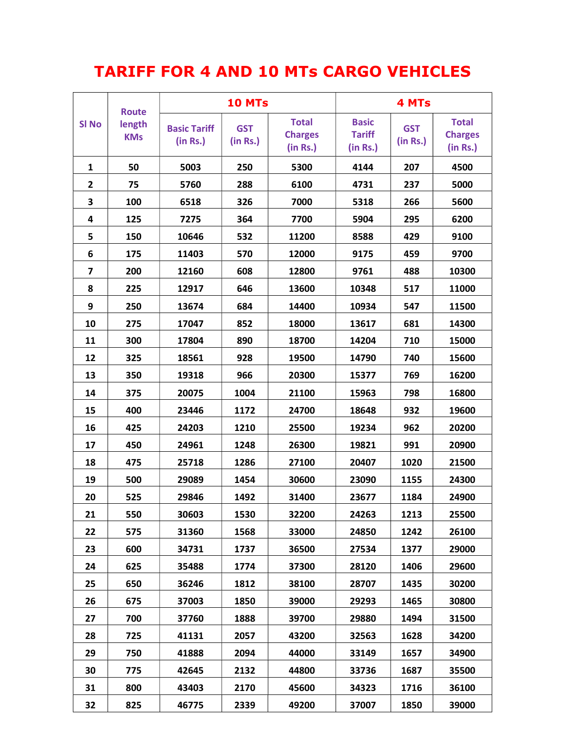## TARIFF FOR 4 AND 10 MTs CARGO VEHICLES

| <b>SI No</b>            | <b>Route</b><br>length<br><b>KMs</b> | <b>10 MTs</b>                   |                        |                                            | 4 MTs                                     |                        |                                            |
|-------------------------|--------------------------------------|---------------------------------|------------------------|--------------------------------------------|-------------------------------------------|------------------------|--------------------------------------------|
|                         |                                      | <b>Basic Tariff</b><br>(in Rs.) | <b>GST</b><br>(in Rs.) | <b>Total</b><br><b>Charges</b><br>(in Rs.) | <b>Basic</b><br><b>Tariff</b><br>(in Rs.) | <b>GST</b><br>(in Rs.) | <b>Total</b><br><b>Charges</b><br>(in Rs.) |
| 1                       | 50                                   | 5003                            | 250                    | 5300                                       | 4144                                      | 207                    | 4500                                       |
| 2                       | 75                                   | 5760                            | 288                    | 6100                                       | 4731                                      | 237                    | 5000                                       |
| 3                       | 100                                  | 6518                            | 326                    | 7000                                       | 5318                                      | 266                    | 5600                                       |
| 4                       | 125                                  | 7275                            | 364                    | 7700                                       | 5904                                      | 295                    | 6200                                       |
| 5                       | 150                                  | 10646                           | 532                    | 11200                                      | 8588                                      | 429                    | 9100                                       |
| 6                       | 175                                  | 11403                           | 570                    | 12000                                      | 9175                                      | 459                    | 9700                                       |
| $\overline{\mathbf{z}}$ | 200                                  | 12160                           | 608                    | 12800                                      | 9761                                      | 488                    | 10300                                      |
| 8                       | 225                                  | 12917                           | 646                    | 13600                                      | 10348                                     | 517                    | 11000                                      |
| 9                       | 250                                  | 13674                           | 684                    | 14400                                      | 10934                                     | 547                    | 11500                                      |
| 10                      | 275                                  | 17047                           | 852                    | 18000                                      | 13617                                     | 681                    | 14300                                      |
| 11                      | 300                                  | 17804                           | 890                    | 18700                                      | 14204                                     | 710                    | 15000                                      |
| 12                      | 325                                  | 18561                           | 928                    | 19500                                      | 14790                                     | 740                    | 15600                                      |
| 13                      | 350                                  | 19318                           | 966                    | 20300                                      | 15377                                     | 769                    | 16200                                      |
| 14                      | 375                                  | 20075                           | 1004                   | 21100                                      | 15963                                     | 798                    | 16800                                      |
| 15                      | 400                                  | 23446                           | 1172                   | 24700                                      | 18648                                     | 932                    | 19600                                      |
| 16                      | 425                                  | 24203                           | 1210                   | 25500                                      | 19234                                     | 962                    | 20200                                      |
| 17                      | 450                                  | 24961                           | 1248                   | 26300                                      | 19821                                     | 991                    | 20900                                      |
| 18                      | 475                                  | 25718                           | 1286                   | 27100                                      | 20407                                     | 1020                   | 21500                                      |
| 19                      | 500                                  | 29089                           | 1454                   | 30600                                      | 23090                                     | 1155                   | 24300                                      |
| 20                      | 525                                  | 29846                           | 1492                   | 31400                                      | 23677                                     | 1184                   | 24900                                      |
| 21                      | 550                                  | 30603                           | 1530                   | 32200                                      | 24263                                     | 1213                   | 25500                                      |
| 22                      | 575                                  | 31360                           | 1568                   | 33000                                      | 24850                                     | 1242                   | 26100                                      |
| 23                      | 600                                  | 34731                           | 1737                   | 36500                                      | 27534                                     | 1377                   | 29000                                      |
| 24                      | 625                                  | 35488                           | 1774                   | 37300                                      | 28120                                     | 1406                   | 29600                                      |
| 25                      | 650                                  | 36246                           | 1812                   | 38100                                      | 28707                                     | 1435                   | 30200                                      |
| 26                      | 675                                  | 37003                           | 1850                   | 39000                                      | 29293                                     | 1465                   | 30800                                      |
| 27                      | 700                                  | 37760                           | 1888                   | 39700                                      | 29880                                     | 1494                   | 31500                                      |
| 28                      | 725                                  | 41131                           | 2057                   | 43200                                      | 32563                                     | 1628                   | 34200                                      |
| 29                      | 750                                  | 41888                           | 2094                   | 44000                                      | 33149                                     | 1657                   | 34900                                      |
| 30                      | 775                                  | 42645                           | 2132                   | 44800                                      | 33736                                     | 1687                   | 35500                                      |
| 31                      | 800                                  | 43403                           | 2170                   | 45600                                      | 34323                                     | 1716                   | 36100                                      |
| 32                      | 825                                  | 46775                           | 2339                   | 49200                                      | 37007                                     | 1850                   | 39000                                      |